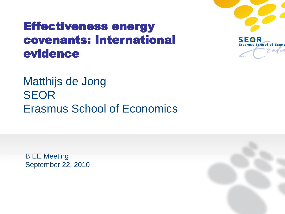#### Effectiveness energy covenants: International evidence



Matthijs de Jong SEOR Erasmus School of Economics

BIEE Meeting September 22, 2010

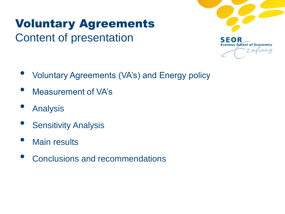# Voluntary Agreements Content of presentation



- Voluntary Agreements (VA's) and Energy policy
- Measurement of VA's
- **Analysis**
- **Sensitivity Analysis**
- **Main results**
- Conclusions and recommendations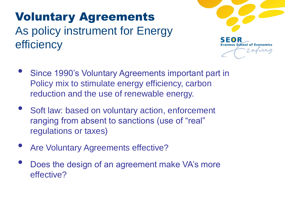## Voluntary Agreements As policy instrument for Energy efficiency



- Since 1990's Voluntary Agreements important part in Policy mix to stimulate energy efficiency, carbon reduction and the use of renewable energy.
- Soft law: based on voluntary action, enforcement ranging from absent to sanctions (use of "real" regulations or taxes)
- Are Voluntary Agreements effective?
- Does the design of an agreement make VA's more effective?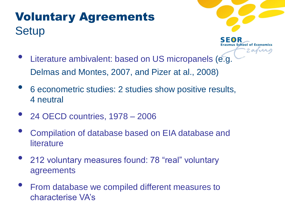## Voluntary Agreements **Setup**



**Ius School of Economics**  $2 and *x*$ 

- Literature ambivalent: based on US micropanels (e.g. Delmas and Montes, 2007, and Pizer at al., 2008)
- 6 econometric studies: 2 studies show positive results, 4 neutral
- 24 OECD countries, 1978 <sup>2006</sup>
- Compilation of database based on EIA database and **literature**
- 212 voluntary measures found: 78 "real" voluntary agreements
- From database we compiled different measures to characterise VA's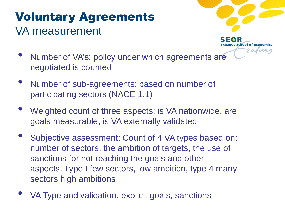## Voluntary Agreements VA measurement



 $2$ aria

- Number of VA's: policy under which agreements are negotiated is counted
- Number of sub-agreements: based on number of participating sectors (NACE 1.1)
- Weighted count of three aspects: is VA nationwide, are goals measurable, is VA externally validated
- Subjective assessment: Count of 4 VA types based on: number of sectors, the ambition of targets, the use of sanctions for not reaching the goals and other aspects. Type I few sectors, low ambition, type 4 many sectors high ambitions
- VA Type and validation, explicit goals, sanctions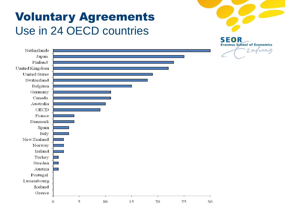### Voluntary Agreements Use in 24 OECD countries



**Erasmus School of Economics** 

2 april Netherlands Japan Finland United Kingdom **United States** Switzerland Belgium<br>Germany Canada Australia  ${\rm OECD}$ France Denmark Spain Italy New Zealand Norway Ireland Turkey Sweden Austria Portugal Luxembourg Iceland Greece 5 10 15 20 25  $\Omega$ 30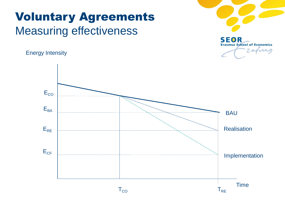## Voluntary Agreements Measuring effectiveness

Energy Intensity



**SEOR Erasmus School of Economics** Zajurg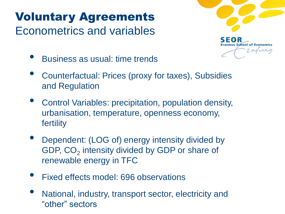# Voluntary Agreements Econometrics and variables



- Business as usual: time trends
- Counterfactual: Prices (proxy for taxes), Subsidies and Regulation
- Control Variables: precipitation, population density, urbanisation, temperature, openness economy, fertility
- Dependent: (LOG of) energy intensity divided by GDP,  $CO<sub>2</sub>$  intensity divided by GDP or share of renewable energy in TFC
- Fixed effects model: 696 observations
- National, industry, transport sector, electricity and "other" sectors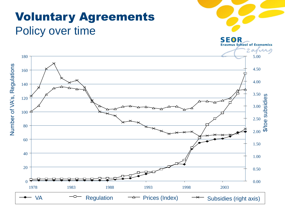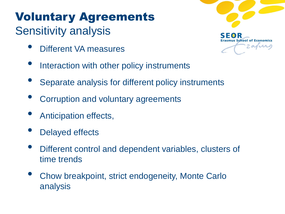### Voluntary Agreements Sensitivity analysis

- Different VA measures
- Interaction with other policy instruments
- Separate analysis for different policy instruments
- Corruption and voluntary agreements
- Anticipation effects,
- Delayed effects
- Different control and dependent variables, clusters of time trends
- Chow breakpoint, strict endogeneity, Monte Carlo analysis

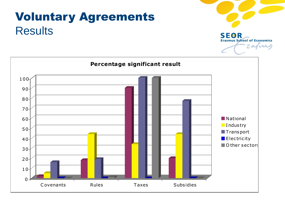# Voluntary Agreements **Results**



**SEOR Erasmus School of Economics** 

2 avril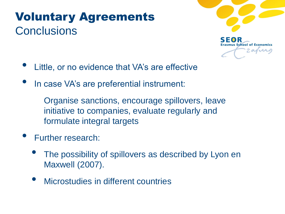# Voluntary Agreements **Conclusions**



- Little, or no evidence that VA's are effective
- In case VA's are preferential instrument:

Organise sanctions, encourage spillovers, leave initiative to companies, evaluate regularly and formulate integral targets

- Further research:
	- The possibility of spillovers as described by Lyon en Maxwell (2007).
	- Microstudies in different countries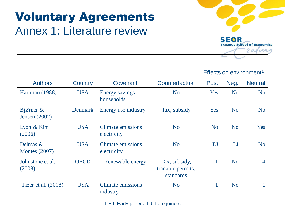# Voluntary Agreements Annex 1: Literature review



#### Effects on environment<sup>1</sup>

| <b>Authors</b>                   | Country        | Covenant                             | Counterfactual                                  | Pos.           | Neg.           | <b>Neutral</b> |
|----------------------------------|----------------|--------------------------------------|-------------------------------------------------|----------------|----------------|----------------|
| Hartman (1988)                   | <b>USA</b>     | <b>Energy savings</b><br>households  | N <sub>o</sub>                                  | Yes            | N <sub>o</sub> | N <sub>o</sub> |
| Bjørner $\&$<br>Jensen $(2002)$  | <b>Denmark</b> | Energy use industry                  | Tax, subsidy                                    | Yes            | N <sub>o</sub> | N <sub>o</sub> |
| Lyon & Kim<br>(2006)             | <b>USA</b>     | Climate emissions<br>electricity     | N <sub>o</sub>                                  | N <sub>o</sub> | N <sub>o</sub> | Yes            |
| Delmas &<br><b>Montes</b> (2007) | <b>USA</b>     | Climate emissions<br>electricity     | N <sub>o</sub>                                  | EJ             | LJ             | N <sub>o</sub> |
| Johnstone et al.<br>(2008)       | <b>OECD</b>    | Renewable energy                     | Tax, subsidy,<br>tradable permits,<br>standards | $\mathbf{1}$   | <b>No</b>      | $\overline{4}$ |
| Pizer et al. (2008)              | <b>USA</b>     | <b>Climate emissions</b><br>industry | N <sub>o</sub>                                  | 1              | N <sub>o</sub> | 1              |

1.EJ: Early joiners, LJ: Late joiners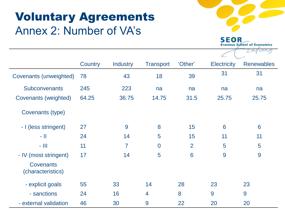## Voluntary Agreements Annex 2: Number of VA's



**SEOR Erasmus School of Economics** 

|                                       |         |                 |                  |         | $\zeta$ .          |                   |
|---------------------------------------|---------|-----------------|------------------|---------|--------------------|-------------------|
|                                       | Country | <b>Industry</b> | <b>Transport</b> | 'Other' | <b>Electricity</b> | <b>Renewables</b> |
| Covenants (unweighted)                | 78      | 43              | 18               | 39      | 31                 | 31                |
| <b>Subconvenants</b>                  | 245     | 223             | na               | na      | na                 | na                |
| Covenants (weighted)                  | 64.25   | 36.75           | 14.75            | 31.5    | 25.75              | 25.75             |
| Covenants (type)                      |         |                 |                  |         |                    |                   |
| - I (less stringent)                  | 27      | 9               | 8                | 15      | 6                  | 6                 |
| - 11                                  | 24      | 14              | 5                | 15      | 11                 | 11                |
| $ \parallel$ $\parallel$              | 11      | $\overline{7}$  | $\overline{0}$   | 2       | 5                  | 5                 |
| - IV (most stringent)                 | 17      | 14              | 5                | 6       | 9                  | 9                 |
| <b>Covenants</b><br>(characteristics) |         |                 |                  |         |                    |                   |
| - explicit goals                      | 55      | 33              | 14               | 28      | 23                 | 23                |
| - sanctions                           | 24      | 16              | $\overline{4}$   | 8       | 9                  | 9                 |
| - external validation                 | 46      | 30              | 9                | 22      | 20                 | 20                |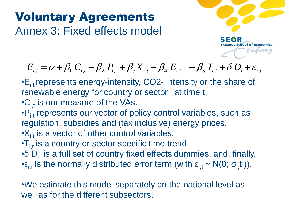# Voluntary Agreements Annex 3: Fixed effects model



 $= \alpha + \beta_1 C_{i,t} + \beta_2 P_{i,t} + \beta_3 X_{i,t} + \beta_4 E_{i,t-1} + \beta_5 T_{i,t} + \delta D_i + \varepsilon_{i,t}$ 

- $\cdot$   $E_{i,t}$  represents energy-intensity, CO2- intensity or the share of renewable energy for country or sector i at time t.  $E_{i,t} = \alpha + \beta_1 C_{i,t} + \beta_2 P_{i,t} + \beta_3 X_{i,t}$ <br>  $\cdot E_{i,t}$  represents energy-intensity, CC<br>
renewable energy for country or se<br>  $\cdot C_{i,t}$  is our measure of the VAs.<br>  $\cdot P_{i,t}$  represents our vector of policy<br>
regulation, subsidi
- $\cdot C_{i,t}$  is our measure of the VAs.
- $\cdot P_{i,t}$  represents our vector of policy control variables, such as regulation, subsidies and (tax inclusive) energy prices.
- $\cdot$ X<sub>i,t</sub> is a vector of other control variables,
- $\cdot T_{i,t}$  is a country or sector specific time trend,
- $\cdot \delta D_i$  is a full set of country fixed effects dummies, and, finally,
- • $\epsilon_{i,t}$  is the normally distributed error term (with  $\epsilon_{i,t} \sim N(0; \sigma_i t)$ ).

•We estimate this model separately on the national level as